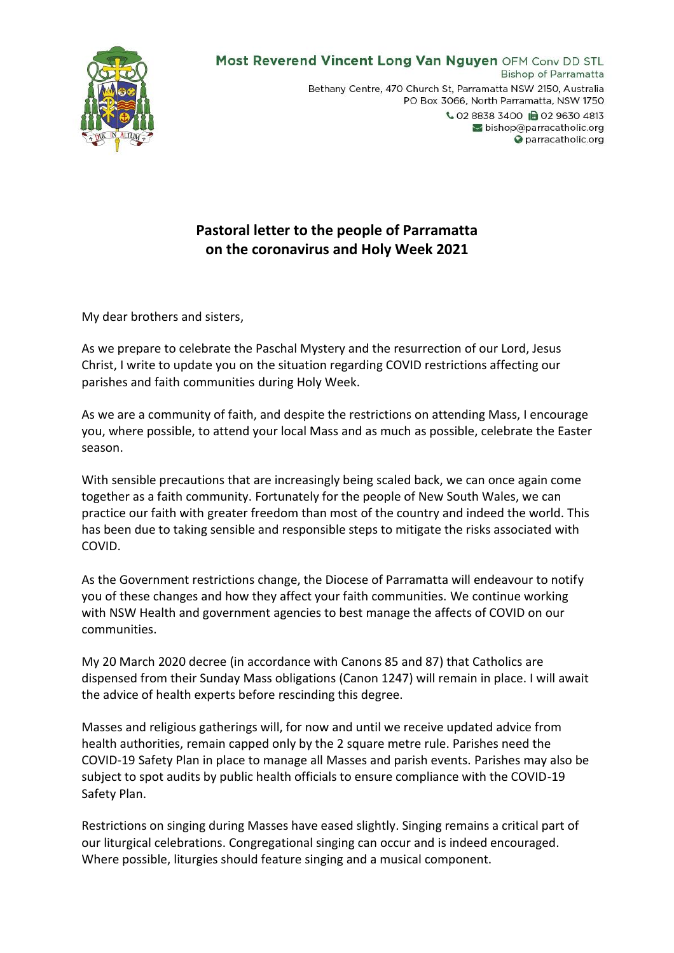

## **Pastoral letter to the people of Parramatta on the coronavirus and Holy Week 2021**

My dear brothers and sisters,

As we prepare to celebrate the Paschal Mystery and the resurrection of our Lord, Jesus Christ, I write to update you on the situation regarding COVID restrictions affecting our parishes and faith communities during Holy Week.

As we are a community of faith, and despite the restrictions on attending Mass, I encourage you, where possible, to attend your local Mass and as much as possible, celebrate the Easter season.

With sensible precautions that are increasingly being scaled back, we can once again come together as a faith community. Fortunately for the people of New South Wales, we can practice our faith with greater freedom than most of the country and indeed the world. This has been due to taking sensible and responsible steps to mitigate the risks associated with COVID.

As the Government restrictions change, the Diocese of Parramatta will endeavour to notify you of these changes and how they affect your faith communities. We continue working with NSW Health and government agencies to best manage the affects of COVID on our communities.

My 20 March 2020 decree (in accordance with Canons 85 and 87) that Catholics are dispensed from their Sunday Mass obligations (Canon 1247) will remain in place. I will await the advice of health experts before rescinding this degree.

Masses and religious gatherings will, for now and until we receive updated advice from health authorities, remain capped only by the 2 square metre rule. Parishes need the COVID-19 Safety Plan in place to manage all Masses and parish events. Parishes may also be subject to spot audits by public health officials to ensure compliance with the COVID-19 Safety Plan.

Restrictions on singing during Masses have eased slightly. Singing remains a critical part of our liturgical celebrations. Congregational singing can occur and is indeed encouraged. Where possible, liturgies should feature singing and a musical component.